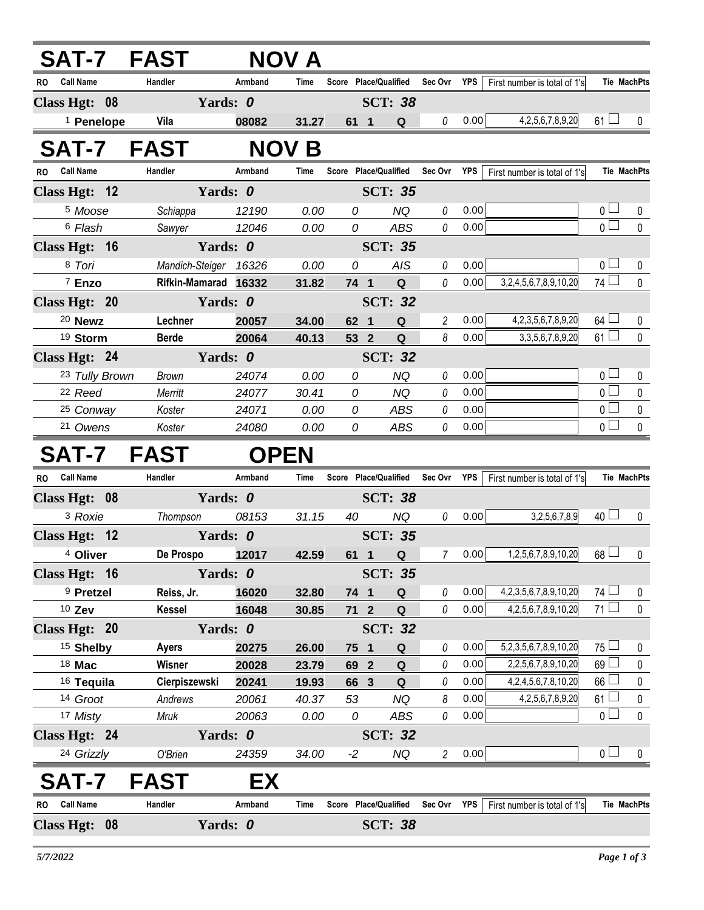|                               |                       | SAT-7 FAST           |            | NOV A       |        |                       |                |            |                                |                 |                    |
|-------------------------------|-----------------------|----------------------|------------|-------------|--------|-----------------------|----------------|------------|--------------------------------|-----------------|--------------------|
| RO Call Name                  |                       | Handler              | Armband    | Time        |        | Score Place/Qualified | Sec Ovr        | YPS        | First number is total of 1's   |                 | <b>Tie MachPts</b> |
| Class Hgt: 08                 |                       |                      | Yards: 0   |             |        | <b>SCT: 38</b>        |                |            |                                |                 |                    |
|                               | <sup>1</sup> Penelope | Vila                 | 08082      | 31.27       | 61 1   | Q                     | 0              | 0.00       | 4, 2, 5, 6, 7, 8, 9, 20        | $61 \Box$       | 0                  |
| SAT-7                         |                       | <b>FAST</b>          | <b>NOV</b> | B           |        |                       |                |            |                                |                 |                    |
| <b>Call Name</b><br>RO.       |                       | Handler              | Armband    | Time        |        | Score Place/Qualified | Sec Ovr        | <b>YPS</b> | First number is total of 1's   |                 | <b>Tie MachPts</b> |
| Class Hgt: 12                 |                       |                      | Yards: 0   |             |        | <b>SCT: 35</b>        |                |            |                                |                 |                    |
| <sup>5</sup> Moose            |                       | Schiappa             | 12190      | 0.00        | 0      | <b>NQ</b>             | 0              | 0.00       |                                | 0 <sub>1</sub>  | 0                  |
| <sup>6</sup> Flash            |                       | Sawyer               | 12046      | 0.00        | 0      | <b>ABS</b>            | 0              | 0.00       |                                | $\overline{0}$  | $\mathbf 0$        |
| Class Hgt: 16                 |                       |                      | Yards: 0   |             |        | <b>SCT: 35</b>        |                |            |                                |                 |                    |
| 8 Tori                        |                       | Mandich-Steiger      | 16326      | 0.00        | 0      | AIS                   | 0              | 0.00       |                                | 0 <sub>1</sub>  | $\mathbf 0$        |
| 7 Enzo                        |                       | Rifkin-Mamarad 16332 |            | 31.82       | 74 1   | $\mathbf Q$           | 0              | 0.00       | 3,2,4,5,6,7,8,9,10,20          | 74 $\Box$       | $\mathbf 0$        |
| Class Hgt: 20                 |                       |                      | Yards: 0   |             |        | <b>SCT: 32</b>        |                |            |                                |                 |                    |
| <sup>20</sup> Newz            |                       | Lechner              | 20057      | 34.00       | 62 1   | $\mathbf Q$           | $\overline{c}$ | 0.00       | 4,2,3,5,6,7,8,9,20             | $64$ $\Box$     | 0                  |
| 19 Storm                      |                       | <b>Berde</b>         | 20064      | 40.13       | 53 2   | $\mathbf Q$           | 8              | 0.00       | 3, 3, 5, 6, 7, 8, 9, 20        | $61 \Box$       | $\mathbf 0$        |
| Class Hgt: 24                 |                       |                      | Yards: 0   |             |        | <b>SCT: 32</b>        |                |            |                                |                 |                    |
|                               | 23 Tully Brown        | Brown                | 24074      | 0.00        | 0      | <b>NQ</b>             | 0              | 0.00       |                                | 0 <sub>1</sub>  | $\mathbf 0$        |
| 22 Reed                       |                       | Merritt              | 24077      | 30.41       | 0      | <b>NQ</b>             | 0              | 0.00       |                                | $\overline{0}$  | $\mathbf 0$        |
| 25 Conway                     |                       | Koster               | 24071      | 0.00        | 0      | <b>ABS</b>            | 0              | 0.00       |                                | $\overline{0}$  | 0                  |
| 21 Owens                      |                       | Koster               | 24080      | 0.00        | 0      | <b>ABS</b>            | 0              | 0.00       |                                | $\overline{0}$  | $\pmb{0}$          |
|                               |                       | SAT-7 FAST           |            | <b>OPEN</b> |        |                       |                |            |                                |                 |                    |
| <b>Call Name</b><br><b>RO</b> |                       | Handler              | Armband    | Time        |        | Score Place/Qualified | Sec Ovr        | <b>YPS</b> | First number is total of 1's   |                 | <b>Tie MachPts</b> |
| Class Hgt: 08                 |                       |                      | Yards: 0   |             |        | <b>SCT: 38</b>        |                |            |                                |                 |                    |
| <sup>3</sup> Roxie            |                       | Thompson             | 08153      | 31.15       | 40     | <b>NQ</b>             | 0              | 0.00       | 3,2,5,6,7,8,9                  | 40 <sup>1</sup> | 0                  |
| Class Hgt: 12                 |                       |                      | Yards: 0   |             |        | <b>SCT: 35</b>        |                |            |                                |                 |                    |
| <sup>4</sup> Oliver           |                       | De Prospo            | 12017      | 42.59       |        | 61 1<br>Q             | 7              | 0.00       | 1,2,5,6,7,8,9,10,20            | $68\Box$        | 0                  |
| Class Hgt: 16                 |                       |                      | Yards: 0   |             |        | <b>SCT: 35</b>        |                |            |                                |                 |                    |
| <sup>9</sup> Pretzel          |                       | Reiss, Jr.           | 16020      | 32.80       | 74 1   | Q                     | 0              | 0.00       | 4, 2, 3, 5, 6, 7, 8, 9, 10, 20 | $74 \Box$       | 0                  |
| 10 Zev                        |                       | <b>Kessel</b>        | 16048      | 30.85       | $71 2$ | Q                     | 0              | 0.00       | 4,2,5,6,7,8,9,10,20            | $71 \Box$       | 0                  |
| Class Hgt: 20                 |                       |                      | Yards: 0   |             |        | <b>SCT: 32</b>        |                |            |                                |                 |                    |
|                               |                       |                      |            |             |        |                       |                |            |                                |                 | 0                  |
| <sup>15</sup> Shelby          |                       | <b>Ayers</b>         | 20275      | 26.00       | 75 1   | Q                     | 0              | 0.00       | 5,2,3,5,6,7,8,9,10,20          | $75 -$          | 0                  |
| 18 Mac                        |                       | Wisner               | 20028      | 23.79       | 69 2   | Q                     | 0              | 0.00       | 2,2,5,6,7,8,9,10,20            | 69L             |                    |
| <sup>16</sup> Tequila         |                       | Cierpiszewski        | 20241      | 19.93       | 66 3   | Q                     | 0              | 0.00       | 4,2,4,5,6,7,8,10,20            | 66              | 0                  |
| 14 Groot                      |                       | Andrews              | 20061      | 40.37       | 53     | NQ                    | 8              | 0.00       | 4,2,5,6,7,8,9,20               | 61 <sup>L</sup> | 0                  |
| 17 Misty                      |                       | Mruk                 | 20063      | 0.00        | 0      | ABS                   | 0              | 0.00       |                                | 0 <sup>1</sup>  | $\mathbf 0$        |
| Class Hgt: 24                 |                       |                      | Yards: 0   |             |        | <b>SCT: 32</b>        |                |            |                                |                 |                    |
| 24 Grizzly                    |                       | O'Brien              | 24359      | 34.00       | $-2$   | NQ                    | $\overline{c}$ | 0.00       |                                | 0 <sub>1</sub>  | $\theta$           |
| <b>SAT-7</b>                  |                       | <b>FAST</b>          | EХ         |             |        |                       |                |            |                                |                 |                    |
| <b>Call Name</b><br>RO.       |                       | Handler              | Armband    | Time        |        | Score Place/Qualified | Sec Ovr        | YPS        | First number is total of 1's   |                 | <b>Tie MachPts</b> |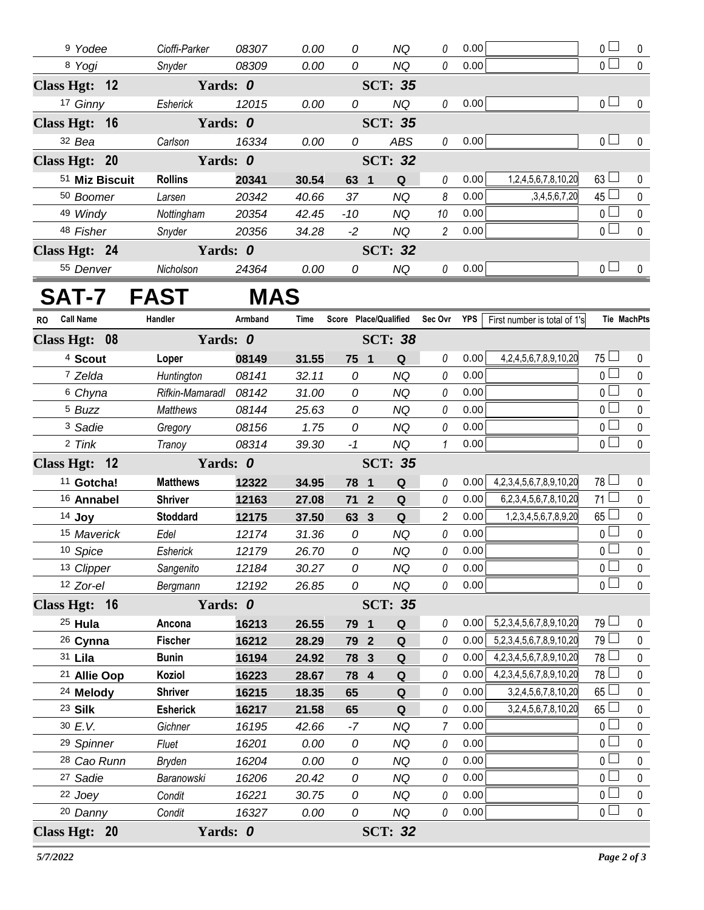| <sup>9</sup> Yodee | Cioffi-Parker  | 08307 | 0.00           | 0    | ΝQ             | 0              | 0.00 |                     | 0 <sup>1</sup>        | $\Omega$ |
|--------------------|----------------|-------|----------------|------|----------------|----------------|------|---------------------|-----------------------|----------|
| 8 Yogi             | Snyder         | 08309 | 0.00           | 0    | NQ             | 0              | 0.00 |                     | 0 <sub>1</sub>        | $\Omega$ |
| Class Hgt: 12      | Yards: 0       |       |                |      | <b>SCT: 35</b> |                |      |                     |                       |          |
| 17 Ginny           | Esherick       | 12015 | 0.00           | 0    | NQ             | 0              | 0.00 |                     | 0 <sub>1</sub>        | $\Omega$ |
| Class Hgt: 16      | Yards: 0       |       |                |      | <b>SCT: 35</b> |                |      |                     |                       |          |
| $32$ Bea           | Carlson        | 16334 | 0.00           | 0    | <b>ABS</b>     | 0              | 0.00 |                     | $0 -$                 | $\Omega$ |
| Class Hgt: 20      | Yards: 0       |       |                |      | <b>SCT: 32</b> |                |      |                     |                       |          |
| 51 Miz Biscuit     | <b>Rollins</b> | 20341 | 30.54          | 63 1 | Q              | 0              | 0.00 | 1,2,4,5,6,7,8,10,20 | $63 \Box$             | $\Omega$ |
| 50 Boomer          | Larsen         | 20342 | 40.66          | 37   | NQ             | 8              | 0.00 | ,3,4,5,6,7,20       | $45$ $-$              | $\Omega$ |
| 49 Windy           | Nottingham     | 20354 | 42.45          | -10  | NQ             | 10             | 0.00 |                     | $\overline{0}$        | $\Omega$ |
| 48 Fisher          | Snyder         | 20356 | 34.28          | $-2$ | NQ             | $\overline{2}$ | 0.00 |                     | $\overline{0}$ $\Box$ | $\Omega$ |
| Class Hgt: 24      |                |       | <b>SCT: 32</b> |      |                |                |      |                     |                       |          |
| 55 Denver          | Nicholson      | 24364 | 0.00           | 0    | <b>NQ</b>      | 0              | 0.00 |                     | $0-1$                 | $\Omega$ |

## **SAT-7 FAST MAS**

| <b>Call Name</b><br>RO                      | Handler         | Armband | Time  |               |  |                | Score Place/Qualified Sec Ovr YPS |      | First number is total of 1's      |                 | <b>Tie MachPts</b> |
|---------------------------------------------|-----------------|---------|-------|---------------|--|----------------|-----------------------------------|------|-----------------------------------|-----------------|--------------------|
| Yards: 0<br>Class Hgt: 08<br><b>SCT: 38</b> |                 |         |       |               |  |                |                                   |      |                                   |                 |                    |
| <sup>4</sup> Scout                          | Loper           | 08149   | 31.55 | 75 1          |  | Q              | 0                                 | 0.00 | 4,2,4,5,6,7,8,9,10,20             | $75 \Box$       | $\mathbf{0}$       |
| 7 Zelda                                     | Huntington      | 08141   | 32.11 | $\mathcal{O}$ |  | <b>NQ</b>      | 0                                 | 0.00 |                                   | $\overline{0}$  | $\mathbf 0$        |
| 6 Chyna                                     | Rifkin-Mamaradl | 08142   | 31.00 | 0             |  | <b>NQ</b>      | 0                                 | 0.00 |                                   | $\overline{0}$  | $\pmb{0}$          |
| <sup>5</sup> Buzz                           | Matthews        | 08144   | 25.63 | 0             |  | <b>NQ</b>      | 0                                 | 0.00 |                                   | $\overline{0}$  | $\mathbf 0$        |
| <sup>3</sup> Sadie                          | Gregory         | 08156   | 1.75  | 0             |  | <b>NQ</b>      | 0                                 | 0.00 |                                   | $\overline{0}$  | $\pmb{0}$          |
| 2 Tink                                      | Tranoy          | 08314   | 39.30 | $-1$          |  | <b>NQ</b>      | $\mathbf{1}$                      | 0.00 |                                   | $\overline{0}$  | $\mathbf 0$        |
| Class Hgt: 12                               | Yards: 0        |         |       |               |  | <b>SCT: 35</b> |                                   |      |                                   |                 |                    |
| <sup>11</sup> Gotcha!                       | <b>Matthews</b> | 12322   | 34.95 | 78 1          |  | Q              | 0                                 | 0.00 | 4, 2, 3, 4, 5, 6, 7, 8, 9, 10, 20 | 78 L            | 0                  |
| 16 Annabel                                  | <b>Shriver</b>  | 12163   | 27.08 | 71 2          |  | Q              | 0                                 | 0.00 | 6,2,3,4,5,6,7,8,10,20             | $71 \Box$       | $\pmb{0}$          |
| 14 Joy                                      | <b>Stoddard</b> | 12175   | 37.50 | 63 3          |  | Q              | $\overline{2}$                    | 0.00 | 1,2,3,4,5,6,7,8,9,20              | $65$ $\Box$     | $\pmb{0}$          |
| 15 Maverick                                 | Edel            | 12174   | 31.36 | 0             |  | <b>NQ</b>      | 0                                 | 0.00 |                                   | 0 <sub>1</sub>  | $\pmb{0}$          |
| 10 Spice                                    | Esherick        | 12179   | 26.70 | 0             |  | <b>NQ</b>      | 0                                 | 0.00 |                                   | $\overline{0}$  | $\mathbf 0$        |
| 13 Clipper                                  | Sangenito       | 12184   | 30.27 | 0             |  | <b>NQ</b>      | 0                                 | 0.00 |                                   | $\overline{0}$  | $\mathbf 0$        |
| 12 Zor-el                                   | Bergmann        | 12192   | 26.85 | 0             |  | <b>NQ</b>      | 0                                 | 0.00 |                                   | $\overline{0}$  | $\mathbf{0}$       |
| Class Hgt: 16                               | Yards: 0        |         |       |               |  | <b>SCT: 35</b> |                                   |      |                                   |                 |                    |
| $25$ Hula                                   | Ancona          | 16213   | 26.55 | 79 1          |  | Q              | 0                                 | 0.00 | 5,2,3,4,5,6,7,8,9,10,20           | 79 <sup>1</sup> | 0                  |
| <sup>26</sup> Cynna                         | <b>Fischer</b>  | 16212   | 28.29 | 79 2          |  | Q              | 0                                 | 0.00 | 5,2,3,4,5,6,7,8,9,10,20           | $79$ $\Box$     | $\pmb{0}$          |
| 31 Lila                                     | <b>Bunin</b>    | 16194   | 24.92 | 78 3          |  | Q              | 0                                 | 0.00 | 4,2,3,4,5,6,7,8,9,10,20           | 78              | $\mathbf 0$        |
| <sup>21</sup> Allie Oop                     | Koziol          | 16223   | 28.67 | 78 4          |  | Q              | 0                                 | 0.00 | 4,2,3,4,5,6,7,8,9,10,20           | 78 L            | 0                  |
| <sup>24</sup> Melody                        | <b>Shriver</b>  | 16215   | 18.35 | 65            |  | Q              | 0                                 | 0.00 | 3,2,4,5,6,7,8,10,20               | $65\Box$        | $\pmb{0}$          |
| 23 Silk                                     | <b>Esherick</b> | 16217   | 21.58 | 65            |  | Q              | 0                                 | 0.00 | 3,2,4,5,6,7,8,10,20               | $65 -$          | $\mathbf 0$        |
| 30 E.V.                                     | Gichner         | 16195   | 42.66 | $-7$          |  | <b>NQ</b>      | $\overline{7}$                    | 0.00 |                                   | 0 <sub>0</sub>  | $\mathbf 0$        |
| 29 Spinner                                  | Fluet           | 16201   | 0.00  | 0             |  | <b>NQ</b>      | 0                                 | 0.00 |                                   | $\overline{0}$  | $\pmb{0}$          |
| <sup>28</sup> Cao Runn                      | Bryden          | 16204   | 0.00  | 0             |  | <b>NQ</b>      | 0                                 | 0.00 |                                   | $_0 \sqcup$     | $\pmb{0}$          |
| 27 Sadie                                    | Baranowski      | 16206   | 20.42 | 0             |  | <b>NQ</b>      | 0                                 | 0.00 |                                   | $\overline{0}$  | $\pmb{0}$          |
| 22 Joey                                     | Condit          | 16221   | 30.75 | $\mathcal{O}$ |  | <b>NQ</b>      | 0                                 | 0.00 |                                   | $\overline{0}$  | $\pmb{0}$          |
| 20 Danny                                    | Condit          | 16327   | 0.00  | 0             |  | <b>NQ</b>      | 0                                 | 0.00 |                                   | $\overline{0}$  | $\mathbf 0$        |
| Class Hgt: 20                               | Yards: 0        |         |       |               |  | <b>SCT: 32</b> |                                   |      |                                   |                 |                    |